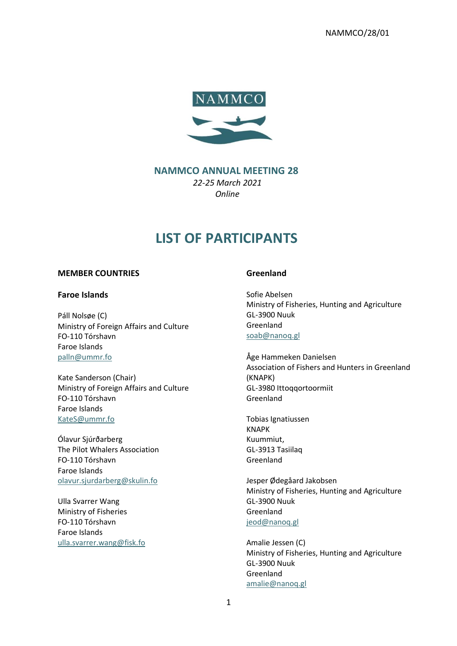NAMMCO/28/01



# **NAMMCO ANNUAL MEETING 28** *22-25 March 2021 Online*

# **LIST OF PARTICIPANTS**

## **MEMBER COUNTRIES**

## **Faroe Islands**

Páll Nolsøe (C) Ministry of Foreign Affairs and Culture FO-110 Tórshavn Faroe Islands [palln@ummr.fo](mailto:palln@ummr.fo)

Kate Sanderson (Chair) Ministry of Foreign Affairs and Culture FO-110 Tórshavn Faroe Islands [KateS@ummr.fo](mailto:KateS@ummr.fo)

Ólavur Sjúrðarberg The Pilot Whalers Association FO-110 Tórshavn Faroe Islands [olavur.sjurdarberg@skulin.fo](mailto:olavur.sjurdarberg@skulin.fo)

Ulla Svarrer Wang Ministry of Fisheries FO-110 Tórshavn Faroe Islands [ulla.svarrer.wang@fisk.fo](mailto:ulla.svarrer.wang@fisk.fo)

## **Greenland**

Sofie Abelsen Ministry of Fisheries, Hunting and Agriculture GL-3900 Nuuk Greenland [soab@nanoq.gl](mailto:soab@nanoq.gl)

Åge Hammeken Danielsen Association of Fishers and Hunters in Greenland (KNAPK) GL-3980 Ittoqqortoormiit Greenland

Tobias Ignatiussen KNAPK Kuummiut, GL-3913 Tasiilaq Greenland

Jesper Ødegåard Jakobsen Ministry of Fisheries, Hunting and Agriculture GL-3900 Nuuk Greenland [jeod@nanoq.gl](mailto:jeod@nanoq.gl)

Amalie Jessen (C) Ministry of Fisheries, Hunting and Agriculture GL-3900 Nuuk Greenland [amalie@nanoq.gl](mailto:amalie@nanoq.gl)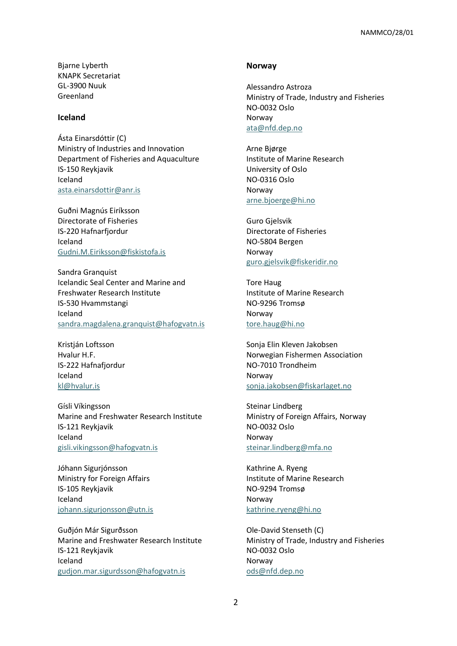Bjarne Lyberth KNAPK Secretariat GL-3900 Nuuk Greenland

## **Iceland**

Ásta Einarsdóttir (C) Ministry of Industries and Innovation Department of Fisheries and Aquaculture IS-150 Reykjavik Iceland [asta.einarsdottir@anr.is](mailto:asta.einarsdottir@anr.is)

Guðni Magnús Eiríksson Directorate of Fisheries IS-220 Hafnarfjordur Iceland [Gudni.M.Eiriksson@fiskistofa.is](mailto:Gudni.M.Eiriksson@fiskistofa.is)

Sandra Granquist Icelandic Seal Center and Marine and Freshwater Research Institute IS-530 Hvammstangi Iceland [sandra.magdalena.granquist@hafogvatn.is](mailto:sandra.magdalena.granquist@hafogvatn.is)

Kristján Loftsson Hvalur H.F. IS-222 Hafnafjordur Iceland [kl@hvalur.is](mailto:kl@hvalur.is)

Gísli Víkingsson Marine and Freshwater Research Institute IS-121 Reykjavik Iceland [gisli.vikingsson@hafogvatn.is](mailto:gisli.vikingsson@hafogvatn.is)

Jóhann Sigurjónsson Ministry for Foreign Affairs IS-105 Reykjavik Iceland [johann.sigurjonsson@utn.is](mailto:johann.sigurjonsson@utn.is)

Guðjón Már Sigurðsson Marine and Freshwater Research Institute IS-121 Reykjavik Iceland [gudjon.mar.sigurdsson@hafogvatn.is](mailto:gudjon.mar.sigurdsson@hafogvatn.is)

#### **Norway**

Alessandro Astroza Ministry of Trade, Industry and Fisheries NO-0032 Oslo Norway [ata@nfd.dep.no](mailto:ata@nfd.dep.no)

Arne Bjørge Institute of Marine Research University of Oslo NO-0316 Oslo Norway [arne.bjoerge@hi.no](mailto:arne.bjoerge@hi.no)

Guro Gjelsvik Directorate of Fisheries NO-5804 Bergen Norway [guro.gjelsvik@fiskeridir.no](mailto:guro.gjelsvik@fiskeridir.no)

Tore Haug Institute of Marine Research NO-9296 Tromsø Norway [tore.haug@hi.no](mailto:tore.haug@hi.no)

Sonja Elin Kleven Jakobsen Norwegian Fishermen Association NO-7010 Trondheim Norway [sonja.jakobsen@fiskarlaget.no](mailto:sonja.jakobsen@fiskarlaget.no)

Steinar Lindberg Ministry of Foreign Affairs, Norway NO-0032 Oslo Norway [steinar.lindberg@mfa.no](mailto:steinar.lindberg@mfa.no)

Kathrine A. Ryeng Institute of Marine Research NO-9294 Tromsø Norway [kathrine.ryeng@hi.no](mailto:kathrine.ryeng@hi.no)

Ole-David Stenseth (C) Ministry of Trade, Industry and Fisheries NO-0032 Oslo Norway [ods@nfd.dep.no](mailto:ods@nfd.dep.no)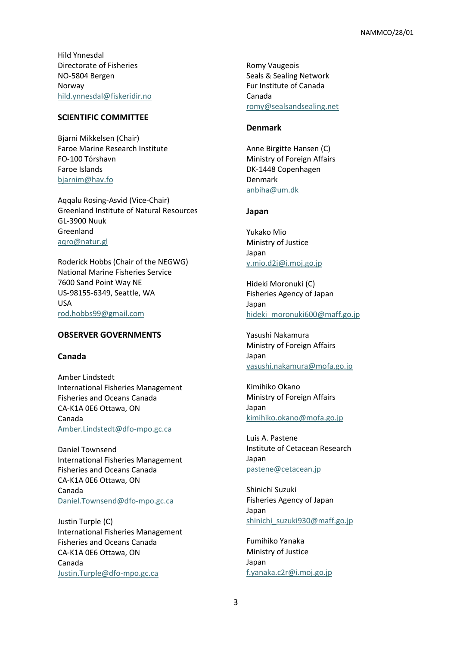Hild Ynnesdal Directorate of Fisheries NO-5804 Bergen Norway [hild.ynnesdal@fiskeridir.no](mailto:hild.ynnesdal@fiskeridir.no)

## **SCIENTIFIC COMMITTEE**

Bjarni Mikkelsen (Chair) Faroe Marine Research Institute FO-100 Tórshavn Faroe Islands [bjarnim@hav.fo](mailto:bjarnim@hav.fo)

Aqqalu Rosing-Asvid (Vice-Chair) Greenland Institute of Natural Resources GL-3900 Nuuk Greenland [aqro@natur.gl](mailto:aqro@natur.gl)

Roderick Hobbs (Chair of the NEGWG) National Marine Fisheries Service 7600 Sand Point Way NE US-98155-6349, Seattle, WA USA [rod.hobbs99@gmail.com](mailto:rod.hobbs99@gmail.com)

#### **OBSERVER GOVERNMENTS**

## **Canada**

Amber Lindstedt International Fisheries Management Fisheries and Oceans Canada CA-K1A 0E6 Ottawa, ON Canada [Amber.Lindstedt@dfo-mpo.gc.ca](mailto:Amber.Lindstedt@dfo-mpo.gc.ca)

Daniel Townsend International Fisheries Management Fisheries and Oceans Canada CA-K1A 0E6 Ottawa, ON Canada [Daniel.Townsend@dfo-mpo.gc.ca](mailto:Daniel.Townsend@dfo-mpo.gc.ca)

Justin Turple (C) International Fisheries Management Fisheries and Oceans Canada CA-K1A 0E6 Ottawa, ON Canada [Justin.Turple@dfo-mpo.gc.ca](mailto:Justin.Turple@dfo-mpo.gc.ca)

Romy Vaugeois Seals & Sealing Network Fur Institute of Canada Canada [romy@sealsandsealing.net](mailto:romy@sealsandsealing.net)

#### **Denmark**

Anne Birgitte Hansen (C) Ministry of Foreign Affairs DK-1448 Copenhagen Denmark [anbiha@um.dk](mailto:anbiha@um.dk)

#### **Japan**

Yukako Mio Ministry of Justice Japan [y.mio.d2j@i.moj.go.jp](mailto:y.mio.d2j@i.moj.go.jp)

Hideki Moronuki (C) Fisheries Agency of Japan Japan hideki moronuki600@maff.go.jp

Yasushi Nakamura Ministry of Foreign Affairs Japan [yasushi.nakamura@mofa.go.jp](mailto:yasushi.nakamura@mofa.go.jp)

Kimihiko Okano Ministry of Foreign Affairs Japan [kimihiko.okano@mofa.go.jp](mailto:kimihiko.okano@mofa.go.jp)

Luis A. Pastene Institute of Cetacean Research Japan [pastene@cetacean.jp](mailto:pastene@cetacean.jp)

Shinichi Suzuki Fisheries Agency of Japan Japan [shinichi\\_suzuki930@maff.go.jp](mailto:shinichi_suzuki930@maff.go.jp)

Fumihiko Yanaka Ministry of Justice Japan [f.yanaka.c2r@i.moj.go.jp](mailto:f.yanaka.c2r@i.moj.go.jp)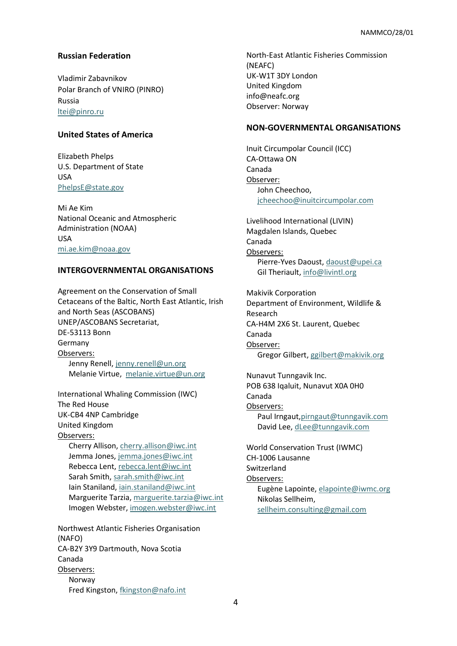# **Russian Federation**

Vladimir Zabavnikov Polar Branch of VNIRO (PINRO) Russia [ltei@pinro.ru](mailto:ltei@pinro.ru)

## **United States of America**

Elizabeth Phelps U.S. Department of State USA [PhelpsE@state.gov](mailto:PhelpsE@state.gov)

Mi Ae Kim National Oceanic and Atmospheric Administration (NOAA) USA [mi.ae.kim@noaa.gov](mailto:mi.ae.kim@noaa.gov)

# **INTERGOVERNMENTAL ORGANISATIONS**

Agreement on the Conservation of Small Cetaceans of the Baltic, North East Atlantic, Irish and North Seas (ASCOBANS) UNEP/ASCOBANS Secretariat, DE-53113 Bonn Germany Observers: Jenny Renell[, jenny.renell@un.org](mailto:jenny.renell@un.org) Melanie Virtue, [melanie.virtue@un.org](mailto:melanie.virtue@un.org)

International Whaling Commission (IWC) The Red House UK-CB4 4NP Cambridge United Kingdom Observers: Cherry Allison[, cherry.allison@iwc.int](mailto:cherry.allison@iwc.int) Jemma Jones, [jemma.jones@iwc.int](mailto:jemma.jones@iwc.int) Rebecca Lent, [rebecca.lent@iwc.int](mailto:rebecca.lent@iwc.int) Sarah Smith, [sarah.smith@iwc.int](mailto:sarah.smith@iwc.int) Iain Staniland, [iain.staniland@iwc.int](mailto:iain.staniland@iwc.int) Marguerite Tarzia, [marguerite.tarzia@iwc.int](mailto:marguerite.tarzia@iwc.int) Imogen Webster, [imogen.webster@iwc.int](mailto:imogen.webster@iwc.int)

Northwest Atlantic Fisheries Organisation (NAFO) CA-B2Y 3Y9 Dartmouth, Nova Scotia Canada Observers: Norway Fred Kingston, [fkingston@nafo.int](mailto:fkingston@nafo.int)

North-East Atlantic Fisheries Commission (NEAFC) UK-W1T 3DY London United Kingdom [info@neafc.org](mailto:info@neafc.org) Observer: Norway

## **NON-GOVERNMENTAL ORGANISATIONS**

Inuit Circumpolar Council (ICC) CA-Ottawa ON Canada Observer: John Cheechoo, [jcheechoo@inuitcircumpolar.com](mailto:jcheechoo@inuitcircumpolar.com)

Livelihood International (LIVIN) Magdalen Islands, Quebec Canada Observers: Pierre-Yves Daoust, [daoust@upei.ca](mailto:daoust@upei.ca) Gil Theriault, [info@livintl.org](mailto:info@livintl.org)

Makivik Corporation Department of Environment, Wildlife & Research CA-H4M 2X6 St. Laurent, Quebec Canada Observer: Gregor Gilbert, [ggilbert@makivik.org](mailto:ggilbert@makivik.org)

Nunavut Tunngavik Inc. POB 638 Iqaluit, Nunavut X0A 0H0 Canada Observers: Paul Irngaut[,pirngaut@tunngavik.com](mailto:pirngaut@tunngavik.com) David Lee, [dLee@tunngavik.com](mailto:dLee@tunngavik.com)

World Conservation Trust (IWMC) CH-1006 Lausanne Switzerland Observers: Eugène Lapointe, [elapointe@iwmc.org](mailto:elapointe@iwmc.org) Nikolas Sellheim, [sellheim.consulting@gmail.com](mailto:sellheim.consulting@gmail.com)